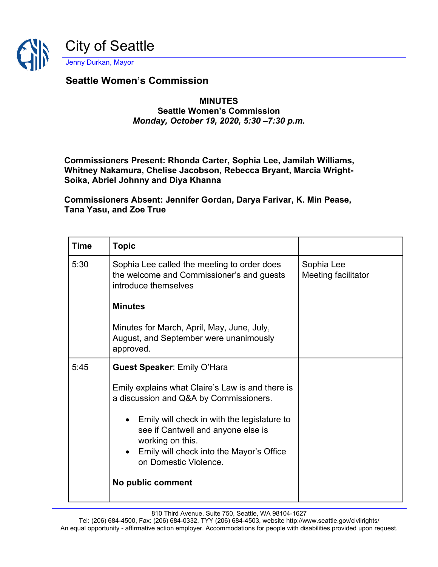

## **Seattle Women's Commission**

## **MINUTES Seattle Women's Commission** *Monday, October 19, 2020, 5:30 –7:30 p.m.*

**Commissioners Present: Rhonda Carter, Sophia Lee, Jamilah Williams, Whitney Nakamura, Chelise Jacobson, Rebecca Bryant, Marcia Wright-Soika, Abriel Johnny and Diya Khanna**

**Commissioners Absent: Jennifer Gordan, Darya Farivar, K. Min Pease, Tana Yasu, and Zoe True**

| <b>Time</b> | <b>Topic</b>                                                                                                                                                                 |                                   |
|-------------|------------------------------------------------------------------------------------------------------------------------------------------------------------------------------|-----------------------------------|
| 5:30        | Sophia Lee called the meeting to order does<br>the welcome and Commissioner's and guests<br>introduce themselves                                                             | Sophia Lee<br>Meeting facilitator |
|             | <b>Minutes</b>                                                                                                                                                               |                                   |
|             | Minutes for March, April, May, June, July,<br>August, and September were unanimously<br>approved.                                                                            |                                   |
| 5:45        | <b>Guest Speaker: Emily O'Hara</b>                                                                                                                                           |                                   |
|             | Emily explains what Claire's Law is and there is<br>a discussion and Q&A by Commissioners.                                                                                   |                                   |
|             | • Emily will check in with the legislature to<br>see if Cantwell and anyone else is<br>working on this.<br>Emily will check into the Mayor's Office<br>on Domestic Violence. |                                   |
|             | No public comment                                                                                                                                                            |                                   |

810 Third Avenue, Suite 750, Seattle, WA 98104-1627

Tel: (206) 684-4500, Fax: (206) 684-0332, TYY (206) 684-4503, website<http://www.seattle.gov/civilrights/> An equal opportunity - affirmative action employer. Accommodations for people with disabilities provided upon request.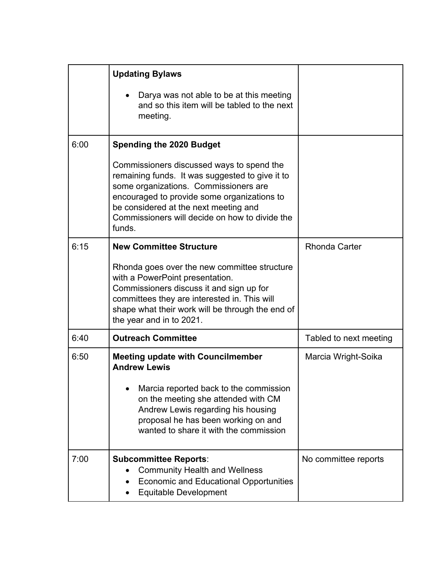|      | <b>Updating Bylaws</b>                                                                                                                                                                                                                                                                    |                        |
|------|-------------------------------------------------------------------------------------------------------------------------------------------------------------------------------------------------------------------------------------------------------------------------------------------|------------------------|
|      | Darya was not able to be at this meeting<br>$\bullet$<br>and so this item will be tabled to the next<br>meeting.                                                                                                                                                                          |                        |
| 6:00 | <b>Spending the 2020 Budget</b>                                                                                                                                                                                                                                                           |                        |
|      | Commissioners discussed ways to spend the<br>remaining funds. It was suggested to give it to<br>some organizations. Commissioners are<br>encouraged to provide some organizations to<br>be considered at the next meeting and<br>Commissioners will decide on how to divide the<br>funds. |                        |
| 6:15 | <b>New Committee Structure</b>                                                                                                                                                                                                                                                            | <b>Rhonda Carter</b>   |
|      | Rhonda goes over the new committee structure<br>with a PowerPoint presentation.<br>Commissioners discuss it and sign up for<br>committees they are interested in. This will<br>shape what their work will be through the end of<br>the year and in to 2021.                               |                        |
| 6:40 | <b>Outreach Committee</b>                                                                                                                                                                                                                                                                 | Tabled to next meeting |
| 6:50 | <b>Meeting update with Councilmember</b><br><b>Andrew Lewis</b><br>Marcia reported back to the commission<br>on the meeting she attended with CM<br>Andrew Lewis regarding his housing<br>proposal he has been working on and<br>wanted to share it with the commission                   | Marcia Wright-Soika    |
| 7:00 | <b>Subcommittee Reports:</b><br><b>Community Health and Wellness</b><br><b>Economic and Educational Opportunities</b><br><b>Equitable Development</b>                                                                                                                                     | No committee reports   |